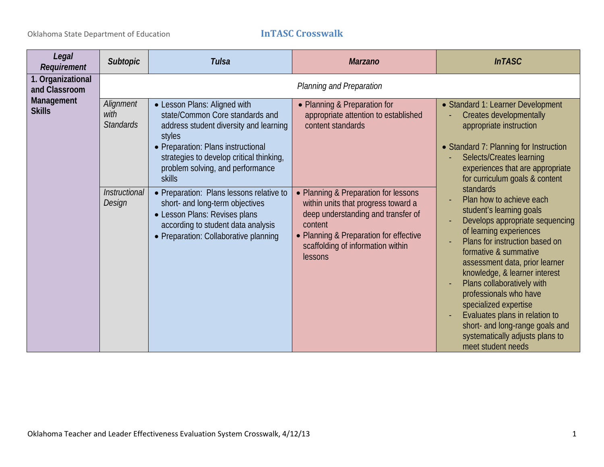| Legal<br>Requirement               | <b>Subtopic</b>                       | <b>Tulsa</b>                                                                                                                                                                                                                                               | <b>Marzano</b>                                                                                                                                                                                                         | <b>InTASC</b>                                                                                                                                                                                                                                                                                                                                                                                                                                                                |
|------------------------------------|---------------------------------------|------------------------------------------------------------------------------------------------------------------------------------------------------------------------------------------------------------------------------------------------------------|------------------------------------------------------------------------------------------------------------------------------------------------------------------------------------------------------------------------|------------------------------------------------------------------------------------------------------------------------------------------------------------------------------------------------------------------------------------------------------------------------------------------------------------------------------------------------------------------------------------------------------------------------------------------------------------------------------|
| 1. Organizational<br>and Classroom |                                       |                                                                                                                                                                                                                                                            | Planning and Preparation                                                                                                                                                                                               |                                                                                                                                                                                                                                                                                                                                                                                                                                                                              |
| Management<br><b>Skills</b>        | Alignment<br>with<br><b>Standards</b> | • Lesson Plans: Aligned with<br>state/Common Core standards and<br>address student diversity and learning<br>styles<br>• Preparation: Plans instructional<br>strategies to develop critical thinking,<br>problem solving, and performance<br><b>skills</b> | • Planning & Preparation for<br>appropriate attention to established<br>content standards                                                                                                                              | • Standard 1: Learner Development<br>Creates developmentally<br>appropriate instruction<br>• Standard 7: Planning for Instruction<br>Selects/Creates learning<br>experiences that are appropriate<br>for curriculum goals & content                                                                                                                                                                                                                                          |
|                                    | Instructional<br>Design               | • Preparation: Plans lessons relative to<br>short- and long-term objectives<br>• Lesson Plans: Revises plans<br>according to student data analysis<br>• Preparation: Collaborative planning                                                                | • Planning & Preparation for lessons<br>within units that progress toward a<br>deep understanding and transfer of<br>content<br>• Planning & Preparation for effective<br>scaffolding of information within<br>lessons | standards<br>Plan how to achieve each<br>student's learning goals<br>Develops appropriate sequencing<br>of learning experiences<br>Plans for instruction based on<br>formative & summative<br>assessment data, prior learner<br>knowledge, & learner interest<br>Plans collaboratively with<br>professionals who have<br>specialized expertise<br>Evaluates plans in relation to<br>short- and long-range goals and<br>systematically adjusts plans to<br>meet student needs |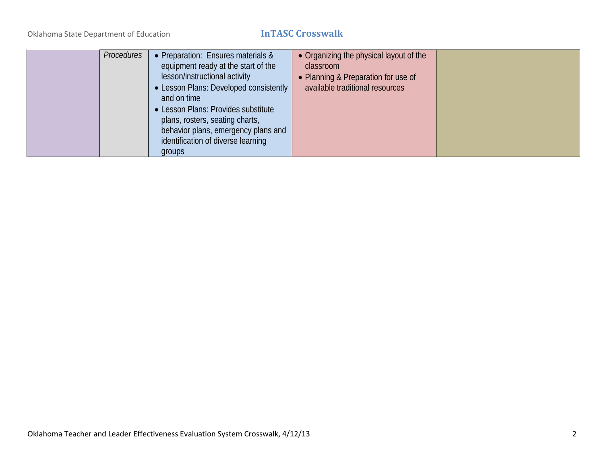|  | Procedures<br>• Preparation: Ensures materials &<br>equipment ready at the start of the<br>lesson/instructional activity<br>• Lesson Plans: Developed consistently<br>and on time<br>• Lesson Plans: Provides substitute<br>plans, rosters, seating charts,<br>behavior plans, emergency plans and<br>identification of diverse learning<br>groups | • Organizing the physical layout of the<br>classroom<br>• Planning & Preparation for use of<br>available traditional resources |  |
|--|----------------------------------------------------------------------------------------------------------------------------------------------------------------------------------------------------------------------------------------------------------------------------------------------------------------------------------------------------|--------------------------------------------------------------------------------------------------------------------------------|--|
|--|----------------------------------------------------------------------------------------------------------------------------------------------------------------------------------------------------------------------------------------------------------------------------------------------------------------------------------------------------|--------------------------------------------------------------------------------------------------------------------------------|--|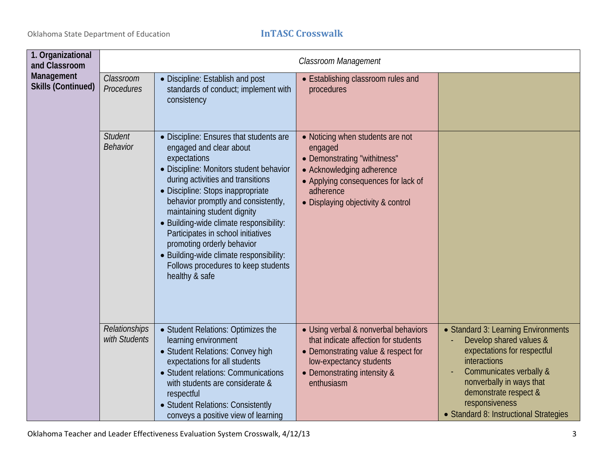| 1. Organizational<br>and Classroom      |                                       |                                                                                                                                                                                                                                                                                                                                                                                                                                                                                                  | Classroom Management                                                                                                                                                                               |                                                                                                                                                                                                                                                           |
|-----------------------------------------|---------------------------------------|--------------------------------------------------------------------------------------------------------------------------------------------------------------------------------------------------------------------------------------------------------------------------------------------------------------------------------------------------------------------------------------------------------------------------------------------------------------------------------------------------|----------------------------------------------------------------------------------------------------------------------------------------------------------------------------------------------------|-----------------------------------------------------------------------------------------------------------------------------------------------------------------------------------------------------------------------------------------------------------|
| Management<br><b>Skills (Continued)</b> | Classroom<br>Procedures               | • Discipline: Establish and post<br>standards of conduct; implement with<br>consistency                                                                                                                                                                                                                                                                                                                                                                                                          | • Establishing classroom rules and<br>procedures                                                                                                                                                   |                                                                                                                                                                                                                                                           |
|                                         | <b>Student</b><br><b>Behavior</b>     | • Discipline: Ensures that students are<br>engaged and clear about<br>expectations<br>· Discipline: Monitors student behavior<br>during activities and transitions<br>• Discipline: Stops inappropriate<br>behavior promptly and consistently,<br>maintaining student dignity<br>• Building-wide climate responsibility:<br>Participates in school initiatives<br>promoting orderly behavior<br>• Building-wide climate responsibility:<br>Follows procedures to keep students<br>healthy & safe | • Noticing when students are not<br>engaged<br>• Demonstrating "withitness"<br>• Acknowledging adherence<br>• Applying consequences for lack of<br>adherence<br>• Displaying objectivity & control |                                                                                                                                                                                                                                                           |
|                                         | <b>Relationships</b><br>with Students | • Student Relations: Optimizes the<br>learning environment<br>• Student Relations: Convey high<br>expectations for all students<br>• Student relations: Communications<br>with students are considerate &<br>respectful<br>• Student Relations: Consistently<br>conveys a positive view of learning                                                                                                                                                                                              | • Using verbal & nonverbal behaviors<br>that indicate affection for students<br>• Demonstrating value & respect for<br>low-expectancy students<br>• Demonstrating intensity &<br>enthusiasm        | • Standard 3: Learning Environments<br>Develop shared values &<br>expectations for respectful<br>interactions<br>Communicates verbally &<br>nonverbally in ways that<br>demonstrate respect &<br>responsiveness<br>• Standard 8: Instructional Strategies |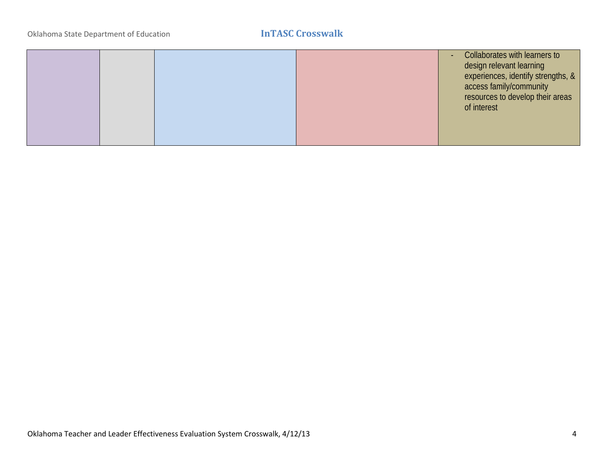|  |  | Collaborates with learners to<br>$\sim$<br>design relevant learning<br>experiences, identify strengths, &<br>access family/community<br>resources to develop their areas<br>of interest |
|--|--|-----------------------------------------------------------------------------------------------------------------------------------------------------------------------------------------|
|  |  |                                                                                                                                                                                         |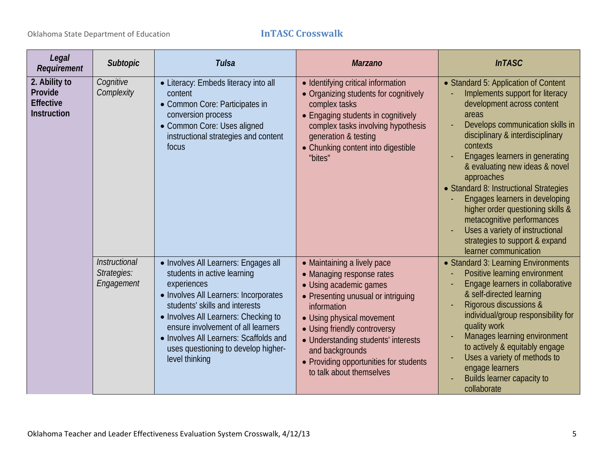| Legal<br>Requirement                                               | <b>Subtopic</b>                            | <b>Tulsa</b>                                                                                                                                                                                                                                                                                                                                   | <b>Marzano</b>                                                                                                                                                                                                                                                                                                                       | <b>InTASC</b>                                                                                                                                                                                                                                                                                                                                                                                                                                                                                                                     |
|--------------------------------------------------------------------|--------------------------------------------|------------------------------------------------------------------------------------------------------------------------------------------------------------------------------------------------------------------------------------------------------------------------------------------------------------------------------------------------|--------------------------------------------------------------------------------------------------------------------------------------------------------------------------------------------------------------------------------------------------------------------------------------------------------------------------------------|-----------------------------------------------------------------------------------------------------------------------------------------------------------------------------------------------------------------------------------------------------------------------------------------------------------------------------------------------------------------------------------------------------------------------------------------------------------------------------------------------------------------------------------|
| 2. Ability to<br>Provide<br><b>Effective</b><br><b>Instruction</b> | Cognitive<br>Complexity                    | • Literacy: Embeds literacy into all<br>content<br>• Common Core: Participates in<br>conversion process<br>• Common Core: Uses aligned<br>instructional strategies and content<br>focus                                                                                                                                                        | • Identifying critical information<br>• Organizing students for cognitively<br>complex tasks<br>• Engaging students in cognitively<br>complex tasks involving hypothesis<br>generation & testing<br>• Chunking content into digestible<br>"bites"                                                                                    | • Standard 5: Application of Content<br>Implements support for literacy<br>development across content<br>areas<br>Develops communication skills in<br>disciplinary & interdisciplinary<br>contexts<br>Engages learners in generating<br>& evaluating new ideas & novel<br>approaches<br>• Standard 8: Instructional Strategies<br>Engages learners in developing<br>higher order questioning skills &<br>metacognitive performances<br>Uses a variety of instructional<br>strategies to support & expand<br>learner communication |
|                                                                    | Instructional<br>Strategies:<br>Engagement | • Involves All Learners: Engages all<br>students in active learning<br>experiences<br>• Involves All Learners: Incorporates<br>students' skills and interests<br>• Involves All Learners: Checking to<br>ensure involvement of all learners<br>• Involves All Learners: Scaffolds and<br>uses questioning to develop higher-<br>level thinking | • Maintaining a lively pace<br>• Managing response rates<br>• Using academic games<br>• Presenting unusual or intriguing<br>information<br>• Using physical movement<br>• Using friendly controversy<br>• Understanding students' interests<br>and backgrounds<br>• Providing opportunities for students<br>to talk about themselves | • Standard 3: Learning Environments<br>Positive learning environment<br>Engage learners in collaborative<br>& self-directed learning<br>Rigorous discussions &<br>individual/group responsibility for<br>quality work<br>Manages learning environment<br>to actively & equitably engage<br>Uses a variety of methods to<br>engage learners<br>Builds learner capacity to<br>collaborate                                                                                                                                           |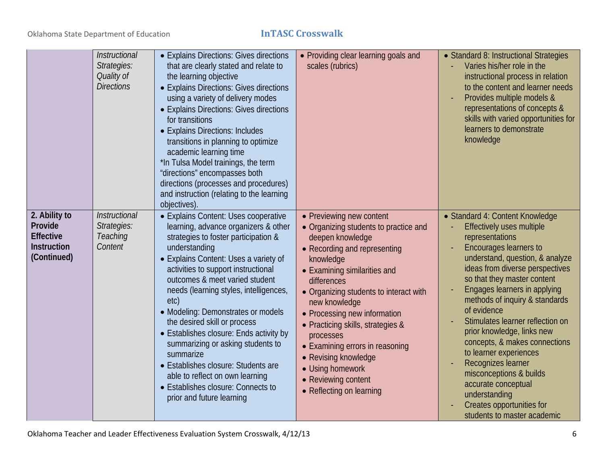|                                                                                   | Instructional<br>Strategies:<br>Quality of<br><b>Directions</b> | • Explains Directions: Gives directions<br>that are clearly stated and relate to<br>the learning objective<br>• Explains Directions: Gives directions<br>using a variety of delivery modes<br>• Explains Directions: Gives directions<br>for transitions<br>• Explains Directions: Includes<br>transitions in planning to optimize<br>academic learning time<br>*In Tulsa Model trainings, the term<br>"directions" encompasses both<br>directions (processes and procedures)<br>and instruction (relating to the learning<br>objectives).                                                                                | • Providing clear learning goals and<br>scales (rubrics)                                                                                                                                                                                                                                                                                                                                                                                                         | • Standard 8: Instructional Strategies<br>Varies his/her role in the<br>instructional process in relation<br>to the content and learner needs<br>Provides multiple models &<br>representations of concepts &<br>skills with varied opportunities for<br>learners to demonstrate<br>knowledge                                                                                                                                                                                                                                                                                      |
|-----------------------------------------------------------------------------------|-----------------------------------------------------------------|---------------------------------------------------------------------------------------------------------------------------------------------------------------------------------------------------------------------------------------------------------------------------------------------------------------------------------------------------------------------------------------------------------------------------------------------------------------------------------------------------------------------------------------------------------------------------------------------------------------------------|------------------------------------------------------------------------------------------------------------------------------------------------------------------------------------------------------------------------------------------------------------------------------------------------------------------------------------------------------------------------------------------------------------------------------------------------------------------|-----------------------------------------------------------------------------------------------------------------------------------------------------------------------------------------------------------------------------------------------------------------------------------------------------------------------------------------------------------------------------------------------------------------------------------------------------------------------------------------------------------------------------------------------------------------------------------|
| 2. Ability to<br>Provide<br><b>Effective</b><br><b>Instruction</b><br>(Continued) | Instructional<br>Strategies:<br>Teaching<br>Content             | • Explains Content: Uses cooperative<br>learning, advance organizers & other<br>strategies to foster participation &<br>understanding<br>• Explains Content: Uses a variety of<br>activities to support instructional<br>outcomes & meet varied student<br>needs (learning styles, intelligences,<br>etc)<br>• Modeling: Demonstrates or models<br>the desired skill or process<br>• Establishes closure: Ends activity by<br>summarizing or asking students to<br>summarize<br>• Establishes closure: Students are<br>able to reflect on own learning<br>• Establishes closure: Connects to<br>prior and future learning | • Previewing new content<br>• Organizing students to practice and<br>deepen knowledge<br>• Recording and representing<br>knowledge<br>• Examining similarities and<br>differences<br>• Organizing students to interact with<br>new knowledge<br>• Processing new information<br>• Practicing skills, strategies &<br>processes<br>• Examining errors in reasoning<br>• Revising knowledge<br>• Using homework<br>• Reviewing content<br>• Reflecting on learning | • Standard 4: Content Knowledge<br>Effectively uses multiple<br>representations<br>Encourages learners to<br>understand, question, & analyze<br>ideas from diverse perspectives<br>so that they master content<br>Engages learners in applying<br>methods of inquiry & standards<br>of evidence<br>Stimulates learner reflection on<br>prior knowledge, links new<br>concepts, & makes connections<br>to learner experiences<br>Recognizes learner<br>misconceptions & builds<br>accurate conceptual<br>understanding<br>Creates opportunities for<br>students to master academic |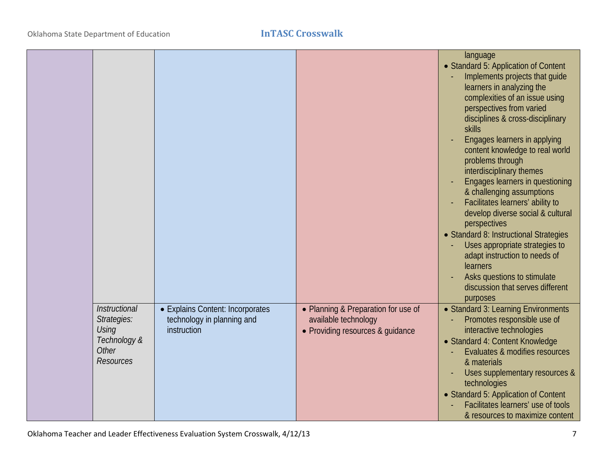|                                                                                                  |                                                                               |                                                                                                 | language<br>• Standard 5: Application of Content<br>Implements projects that guide<br>learners in analyzing the<br>complexities of an issue using<br>perspectives from varied<br>disciplines & cross-disciplinary<br><b>skills</b><br>Engages learners in applying<br>content knowledge to real world<br>problems through<br>interdisciplinary themes<br>Engages learners in questioning<br>& challenging assumptions<br>Facilitates learners' ability to<br>develop diverse social & cultural<br>perspectives<br>· Standard 8: Instructional Strategies<br>Uses appropriate strategies to<br>adapt instruction to needs of<br>learners<br>Asks questions to stimulate<br>discussion that serves different<br>purposes |
|--------------------------------------------------------------------------------------------------|-------------------------------------------------------------------------------|-------------------------------------------------------------------------------------------------|------------------------------------------------------------------------------------------------------------------------------------------------------------------------------------------------------------------------------------------------------------------------------------------------------------------------------------------------------------------------------------------------------------------------------------------------------------------------------------------------------------------------------------------------------------------------------------------------------------------------------------------------------------------------------------------------------------------------|
| Instructional<br>Strategies:<br><b>Using</b><br>Technology &<br><b>Other</b><br><b>Resources</b> | • Explains Content: Incorporates<br>technology in planning and<br>instruction | • Planning & Preparation for use of<br>available technology<br>• Providing resources & quidance | • Standard 3: Learning Environments<br>Promotes responsible use of<br>interactive technologies<br>• Standard 4: Content Knowledge<br>Evaluates & modifies resources<br>& materials<br>Uses supplementary resources &<br>technologies<br>• Standard 5: Application of Content<br>Facilitates learners' use of tools<br>& resources to maximize content                                                                                                                                                                                                                                                                                                                                                                  |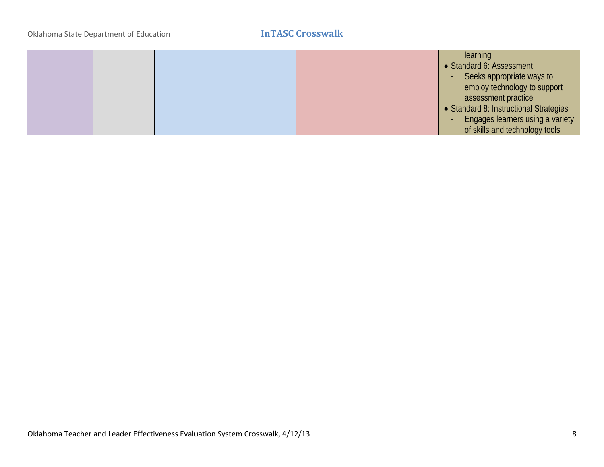|  |  | learning                                                     |
|--|--|--------------------------------------------------------------|
|  |  | • Standard 6: Assessment                                     |
|  |  | Seeks appropriate ways to                                    |
|  |  | employ technology to support                                 |
|  |  | assessment practice                                          |
|  |  | • Standard 8: Instructional Strategies                       |
|  |  | Engages learners using a variety<br>$\overline{\phantom{a}}$ |
|  |  | of skills and technology tools                               |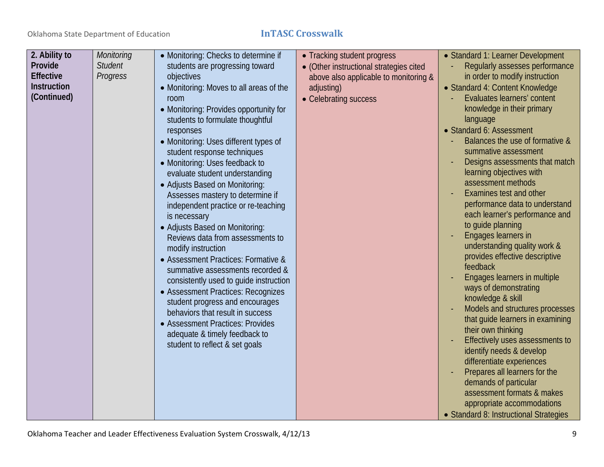| 2. Ability to      | <b>Monitoring</b> | • Monitoring: Checks to determine if    | • Tracking student progress             | • Standard 1: Learner Development                                   |
|--------------------|-------------------|-----------------------------------------|-----------------------------------------|---------------------------------------------------------------------|
| Provide            | <b>Student</b>    | students are progressing toward         | • (Other instructional strategies cited | Regularly assesses performance                                      |
| <b>Effective</b>   | Progress          | objectives                              | above also applicable to monitoring &   | in order to modify instruction                                      |
| <b>Instruction</b> |                   | • Monitoring: Moves to all areas of the | adjusting)                              | • Standard 4: Content Knowledge                                     |
| (Continued)        |                   | room                                    | • Celebrating success                   | Evaluates learners' content                                         |
|                    |                   | • Monitoring: Provides opportunity for  |                                         | knowledge in their primary                                          |
|                    |                   | students to formulate thoughtful        |                                         | language                                                            |
|                    |                   | responses                               |                                         | • Standard 6: Assessment                                            |
|                    |                   | • Monitoring: Uses different types of   |                                         | Balances the use of formative &                                     |
|                    |                   | student response techniques             |                                         | summative assessment                                                |
|                    |                   | • Monitoring: Uses feedback to          |                                         | Designs assessments that match                                      |
|                    |                   | evaluate student understanding          |                                         | learning objectives with                                            |
|                    |                   | • Adjusts Based on Monitoring:          |                                         | assessment methods                                                  |
|                    |                   | Assesses mastery to determine if        |                                         | Examines test and other                                             |
|                    |                   | independent practice or re-teaching     |                                         | performance data to understand                                      |
|                    |                   | is necessary                            |                                         | each learner's performance and                                      |
|                    |                   | • Adjusts Based on Monitoring:          |                                         | to guide planning                                                   |
|                    |                   | Reviews data from assessments to        |                                         | Engages learners in                                                 |
|                    |                   | modify instruction                      |                                         | understanding quality work &                                        |
|                    |                   | • Assessment Practices: Formative &     |                                         | provides effective descriptive                                      |
|                    |                   | summative assessments recorded &        |                                         | feedback                                                            |
|                    |                   | consistently used to guide instruction  |                                         | Engages learners in multiple                                        |
|                    |                   | • Assessment Practices: Recognizes      |                                         | ways of demonstrating                                               |
|                    |                   | student progress and encourages         |                                         | knowledge & skill                                                   |
|                    |                   | behaviors that result in success        |                                         | Models and structures processes<br>that guide learners in examining |
|                    |                   | • Assessment Practices: Provides        |                                         | their own thinking                                                  |
|                    |                   | adequate & timely feedback to           |                                         | Effectively uses assessments to                                     |
|                    |                   | student to reflect & set goals          |                                         | identify needs & develop                                            |
|                    |                   |                                         |                                         | differentiate experiences                                           |
|                    |                   |                                         |                                         | Prepares all learners for the                                       |
|                    |                   |                                         |                                         | demands of particular                                               |
|                    |                   |                                         |                                         | assessment formats & makes                                          |
|                    |                   |                                         |                                         | appropriate accommodations                                          |
|                    |                   |                                         |                                         | • Standard 8: Instructional Strategies                              |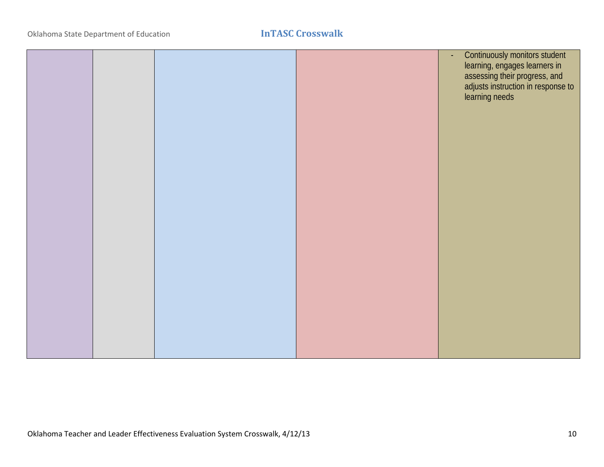|  |  | Continuously monitors student<br>$\omega$<br>Learning, engages learners in<br>assessing their progress, and<br>adjusts instruction in response to<br>learning needs |
|--|--|---------------------------------------------------------------------------------------------------------------------------------------------------------------------|
|  |  |                                                                                                                                                                     |
|  |  |                                                                                                                                                                     |
|  |  |                                                                                                                                                                     |
|  |  |                                                                                                                                                                     |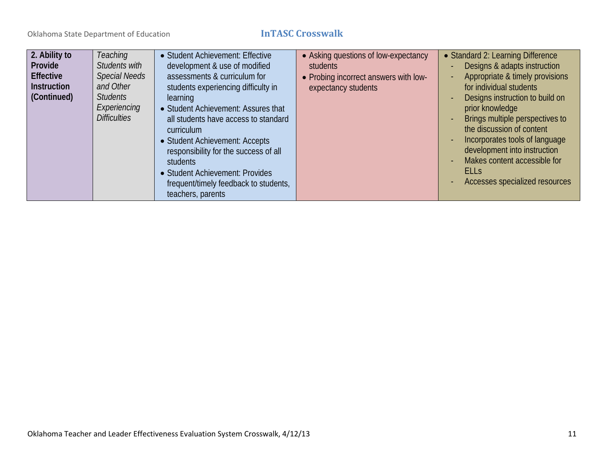| 2. Ability to<br>Provide<br><b>Effective</b><br><b>Instruction</b><br>(Continued) | Teaching<br>Students with<br><b>Special Needs</b><br>and Other<br><b>Students</b><br>Experiencing<br><b>Difficulties</b> | • Student Achievement: Effective<br>development & use of modified<br>assessments & curriculum for<br>students experiencing difficulty in<br>learning<br>• Student Achievement: Assures that<br>all students have access to standard<br>curriculum<br>• Student Achievement: Accepts<br>responsibility for the success of all<br>students<br>• Student Achievement: Provides<br>frequent/timely feedback to students,<br>teachers, parents | • Asking questions of low-expectancy<br><b>students</b><br>• Probing incorrect answers with low-<br>expectancy students | • Standard 2: Learning Difference<br>Designs & adapts instruction<br>Appropriate & timely provisions<br>for individual students<br>Designs instruction to build on<br>prior knowledge<br>Brings multiple perspectives to<br>the discussion of content<br>Incorporates tools of language<br>development into instruction<br>Makes content accessible for<br><b>ELLS</b><br>Accesses specialized resources |
|-----------------------------------------------------------------------------------|--------------------------------------------------------------------------------------------------------------------------|-------------------------------------------------------------------------------------------------------------------------------------------------------------------------------------------------------------------------------------------------------------------------------------------------------------------------------------------------------------------------------------------------------------------------------------------|-------------------------------------------------------------------------------------------------------------------------|----------------------------------------------------------------------------------------------------------------------------------------------------------------------------------------------------------------------------------------------------------------------------------------------------------------------------------------------------------------------------------------------------------|
|-----------------------------------------------------------------------------------|--------------------------------------------------------------------------------------------------------------------------|-------------------------------------------------------------------------------------------------------------------------------------------------------------------------------------------------------------------------------------------------------------------------------------------------------------------------------------------------------------------------------------------------------------------------------------------|-------------------------------------------------------------------------------------------------------------------------|----------------------------------------------------------------------------------------------------------------------------------------------------------------------------------------------------------------------------------------------------------------------------------------------------------------------------------------------------------------------------------------------------------|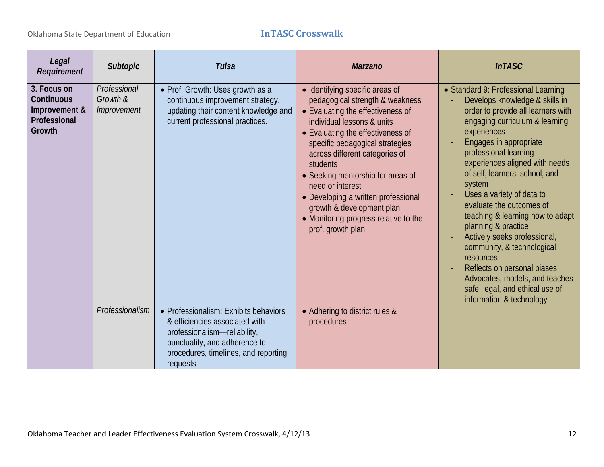# Oklahoma State Department of Education **InTASC Crosswalk**

| Legal<br>Requirement                                                 | <b>Subtopic</b>                         | <b>Tulsa</b>                                                                                                                                                                                 | <b>Marzano</b>                                                                                                                                                                                                                                                                                                                                                                                                                                         | <b>InTASC</b>                                                                                                                                                                                                                                                                                                                                                                                                                                                                                                                                                                                                                |
|----------------------------------------------------------------------|-----------------------------------------|----------------------------------------------------------------------------------------------------------------------------------------------------------------------------------------------|--------------------------------------------------------------------------------------------------------------------------------------------------------------------------------------------------------------------------------------------------------------------------------------------------------------------------------------------------------------------------------------------------------------------------------------------------------|------------------------------------------------------------------------------------------------------------------------------------------------------------------------------------------------------------------------------------------------------------------------------------------------------------------------------------------------------------------------------------------------------------------------------------------------------------------------------------------------------------------------------------------------------------------------------------------------------------------------------|
| 3. Focus on<br>Continuous<br>Improvement &<br>Professional<br>Growth | Professional<br>Growth &<br>Improvement | • Prof. Growth: Uses growth as a<br>continuous improvement strategy,<br>updating their content knowledge and<br>current professional practices.                                              | • Identifying specific areas of<br>pedagogical strength & weakness<br>• Evaluating the effectiveness of<br>individual lessons & units<br>• Evaluating the effectiveness of<br>specific pedagogical strategies<br>across different categories of<br>students<br>• Seeking mentorship for areas of<br>need or interest<br>• Developing a written professional<br>growth & development plan<br>• Monitoring progress relative to the<br>prof. growth plan | • Standard 9: Professional Learning<br>Develops knowledge & skills in<br>order to provide all learners with<br>engaging curriculum & learning<br>experiences<br>Engages in appropriate<br>professional learning<br>experiences aligned with needs<br>of self, learners, school, and<br>system<br>Uses a variety of data to<br>evaluate the outcomes of<br>teaching & learning how to adapt<br>planning & practice<br>Actively seeks professional,<br>community, & technological<br>resources<br>Reflects on personal biases<br>Advocates, models, and teaches<br>safe, legal, and ethical use of<br>information & technology |
|                                                                      | Professionalism                         | • Professionalism: Exhibits behaviors<br>& efficiencies associated with<br>professionalism-reliability,<br>punctuality, and adherence to<br>procedures, timelines, and reporting<br>requests | • Adhering to district rules &<br>procedures                                                                                                                                                                                                                                                                                                                                                                                                           |                                                                                                                                                                                                                                                                                                                                                                                                                                                                                                                                                                                                                              |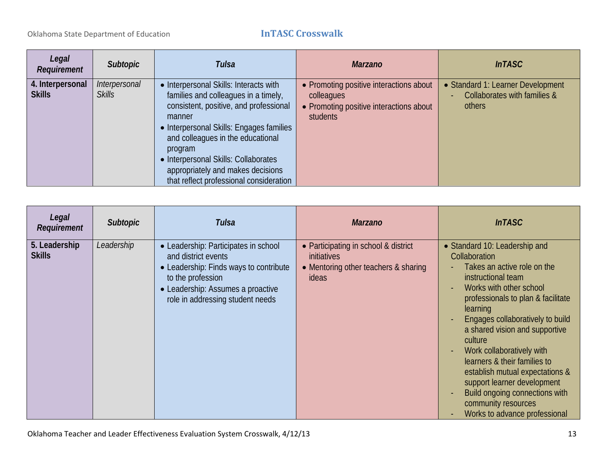| Legal<br><b>Requirement</b>       | Subtopic                       | <b>Tulsa</b>                                                                                                                                                                                                                                                                                                                                           | <b>Marzano</b>                                                                                               | <b>InTASC</b>                                                               |
|-----------------------------------|--------------------------------|--------------------------------------------------------------------------------------------------------------------------------------------------------------------------------------------------------------------------------------------------------------------------------------------------------------------------------------------------------|--------------------------------------------------------------------------------------------------------------|-----------------------------------------------------------------------------|
| 4. Interpersonal<br><b>Skills</b> | Interpersonal<br><b>Skills</b> | • Interpersonal Skills: Interacts with<br>families and colleagues in a timely,<br>consistent, positive, and professional<br>manner<br>• Interpersonal Skills: Engages families<br>and colleagues in the educational<br>program<br>• Interpersonal Skills: Collaborates<br>appropriately and makes decisions<br>that reflect professional consideration | • Promoting positive interactions about<br>colleagues<br>• Promoting positive interactions about<br>students | • Standard 1: Learner Development<br>Collaborates with families &<br>others |

| Legal<br>Requirement           | <b>Subtopic</b> | Tulsa                                                                                                                                                                                               | <b>Marzano</b>                                                                                              | <b>InTASC</b>                                                                                                                                                                                                                                                                                                                                                                                                                                                                              |
|--------------------------------|-----------------|-----------------------------------------------------------------------------------------------------------------------------------------------------------------------------------------------------|-------------------------------------------------------------------------------------------------------------|--------------------------------------------------------------------------------------------------------------------------------------------------------------------------------------------------------------------------------------------------------------------------------------------------------------------------------------------------------------------------------------------------------------------------------------------------------------------------------------------|
| 5. Leadership<br><b>Skills</b> | Leadership      | • Leadership: Participates in school<br>and district events<br>• Leadership: Finds ways to contribute<br>to the profession<br>• Leadership: Assumes a proactive<br>role in addressing student needs | • Participating in school & district<br><i>initiatives</i><br>• Mentoring other teachers & sharing<br>ideas | • Standard 10: Leadership and<br>Collaboration<br>Takes an active role on the<br>instructional team<br>Works with other school<br>professionals to plan & facilitate<br>learning<br>Engages collaboratively to build<br>a shared vision and supportive<br>culture<br>Work collaboratively with<br>learners & their families to<br>establish mutual expectations &<br>support learner development<br>Build ongoing connections with<br>community resources<br>Works to advance professional |